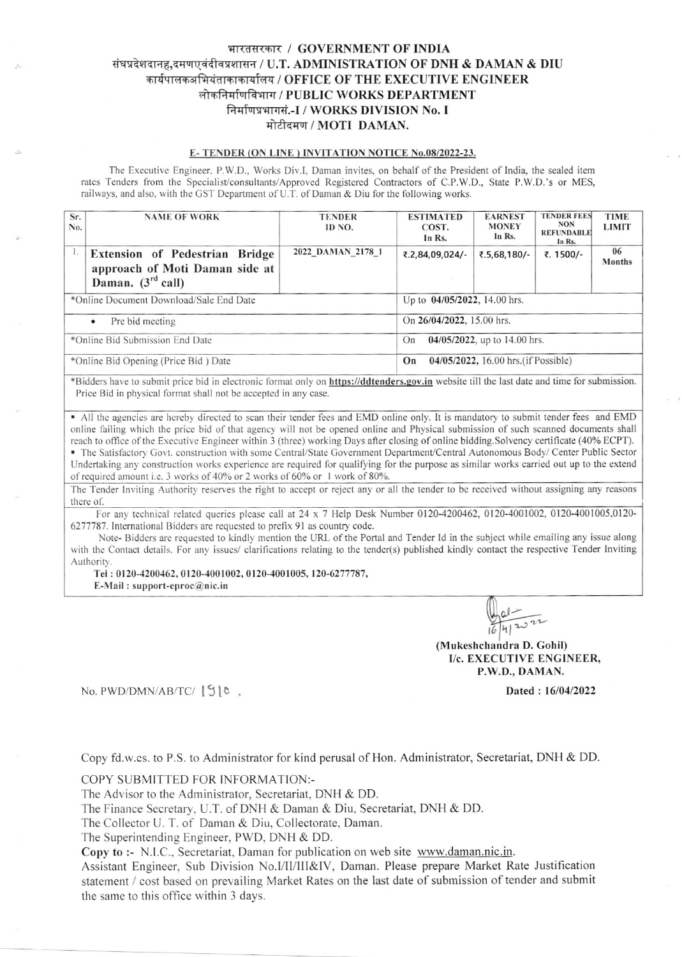# भारतसरकार / GOVERNMENT OF INDIA संघप्रदेशदानह,दमणएवंदीवप्रशासन / U.T. ADMINISTRATION OF DNH & DAMAN & DIU कार्यपालकअभियंताकाकार्यालय / OFFICE OF THE EXECUTIVE ENGINEER लोकनिर्माणविभाग / PUBLIC WORKS DEPARTMENT निर्माणप्रभागसं.-I / WORKS DIVISION No. I मोटीदमण / MOTI DAMAN.

### E-TENDER (ON LINE) INVITATION NOTICE No.08/2022-23.

The Executive Engineer, P.W.D., Works Div.I, Daman invites, on behalf of the President of India, the sealed item rates Tenders from the Specialist/consultants/Approved Registered Contractors of C.P.W.D., State P.W.D.'s or MES, railways, and also, with the GST Department of U.T. of Daman & Diu for the following works.

| Sr.<br>No.                              | <b>NAME OF WORK</b>                                                                        | <b>TENDER</b><br>ID NO.   | <b>ESTIMATED</b><br>COST.<br>In Rs.        | <b>EARNEST</b><br><b>MONEY</b><br>In Rs. | <b>TENDER FEES</b><br><b>NON</b><br><b>REFUNDABLE</b><br>In Rs. | <b>TIME</b><br><b>LIMIT</b> |  |
|-----------------------------------------|--------------------------------------------------------------------------------------------|---------------------------|--------------------------------------------|------------------------------------------|-----------------------------------------------------------------|-----------------------------|--|
| -1.                                     | Extension of Pedestrian Bridge<br>approach of Moti Daman side at<br>Daman. $(3^{rd}$ call) | 2022 DAMAN 2178 1         | ₹.2,84,09,024/-                            | ₹.5,68,180/                              | ₹. 1500/-                                                       | 06<br><b>Months</b>         |  |
| *Online Document Download/Sale End Date |                                                                                            |                           | Up to 04/05/2022, 14.00 hrs.               |                                          |                                                                 |                             |  |
|                                         | Pre bid meeting<br>$\bullet$                                                               | On 26/04/2022, 15.00 hrs. |                                            |                                          |                                                                 |                             |  |
| *Online Bid Submission End Date         |                                                                                            |                           | $04/05/2022$ , up to 14.00 hrs.<br>On      |                                          |                                                                 |                             |  |
| *Online Bid Opening (Price Bid) Date    |                                                                                            |                           | 04/05/2022, 16.00 hrs. (if Possible)<br>On |                                          |                                                                 |                             |  |

\*Bidders have to submit price bid in electronic format only on https://ddtenders.gov.in website till the last date and time for submission. Price Bid in physical format shall not be accepted in any case.

• All the agencies are hereby directed to scan their tender fees and EMD online only. It is mandatory to submit tender fees and EMD online failing which the price bid of that agency will not be opened online and Physical submission of such scanned documents shall reach to office of the Executive Engineer within 3 (three) working Days after closing of online bidding. Solvency certificate (40% ECPT).

• The Satisfactory Govt. construction with some Central/State Government Department/Central Autonomous Body/ Center Public Sector Undertaking any construction works experience are required for qualifying for the purpose as similar works carried out up to the extend of required amount i.e. 3 works of 40% or 2 works of 60% or 1 work of 80%.

The Tender Inviting Authority reserves the right to accept or reject any or all the tender to be received without assigning any reasons there of

For any technical related queries please call at 24 x 7 Help Desk Number 0120-4200462, 0120-4001002, 0120-4001005,0120-6277787. International Bidders are requested to prefix 91 as country code.

Note-Bidders are requested to kindly mention the URL of the Portal and Tender Id in the subject while emailing any issue along with the Contact details. For any issues/ clarifications relating to the tender(s) published kindly contact the respective Tender Inviting Authority

Tel: 0120-4200462, 0120-4001002, 0120-4001005, 120-6277787,

E-Mail: support-eproc@nic.in

2022

(Mukeshchandra D. Gohil) I/c. EXECUTIVE ENGINEER, P.W.D., DAMAN.

Dated: 16/04/2022

No. PWD/DMN/AB/TC/ [9] C,

Copy fd.w.cs. to P.S. to Administrator for kind perusal of Hon. Administrator, Secretariat, DNH & DD.

COPY SUBMITTED FOR INFORMATION:-

The Advisor to the Administrator, Secretariat, DNH & DD.

The Finance Secretary, U.T. of DNH & Daman & Diu, Secretariat, DNH & DD.

The Collector U. T. of Daman & Diu, Collectorate, Daman.

The Superintending Engineer, PWD, DNH & DD.

Copy to :- N.I.C., Secretariat, Daman for publication on web site www.daman.nic.in.

Assistant Engineer, Sub Division No.I/II/III&IV, Daman. Please prepare Market Rate Justification statement / cost based on prevailing Market Rates on the last date of submission of tender and submit the same to this office within 3 days.